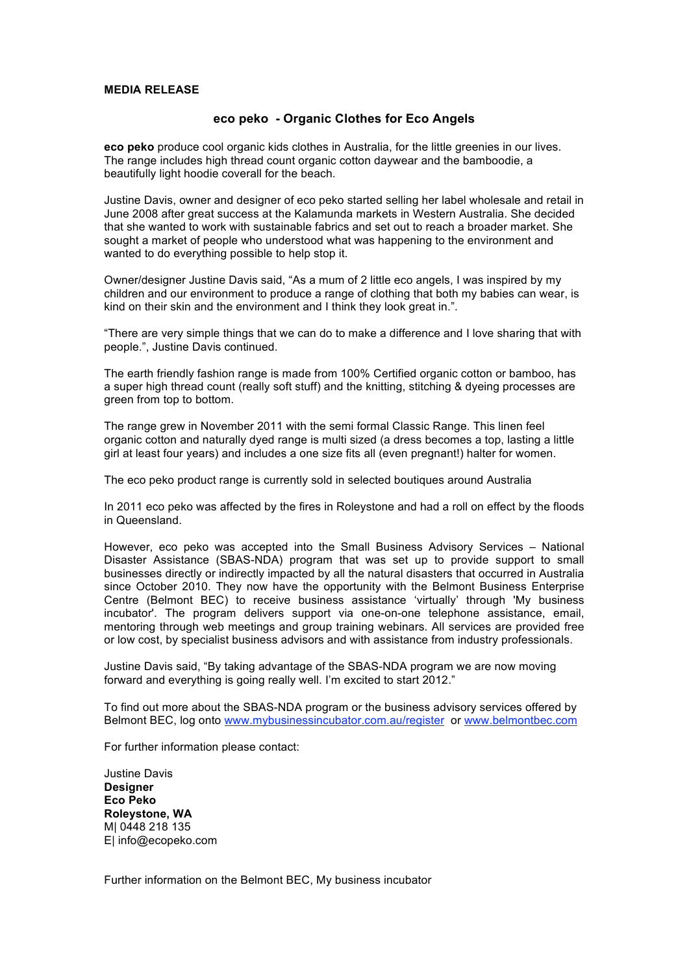## **MEDIA RELEASE**

## **eco peko - Organic Clothes for Eco Angels**

**eco peko** produce cool organic kids clothes in Australia, for the little greenies in our lives. The range includes high thread count organic cotton daywear and the bamboodie, a beautifully light hoodie coverall for the beach.

Justine Davis, owner and designer of eco peko started selling her label wholesale and retail in June 2008 after great success at the Kalamunda markets in Western Australia. She decided that she wanted to work with sustainable fabrics and set out to reach a broader market. She sought a market of people who understood what was happening to the environment and wanted to do everything possible to help stop it.

Owner/designer Justine Davis said, "As a mum of 2 little eco angels, I was inspired by my children and our environment to produce a range of clothing that both my babies can wear, is kind on their skin and the environment and I think they look great in.".

"There are very simple things that we can do to make a difference and I love sharing that with people.", Justine Davis continued.

The earth friendly fashion range is made from 100% Certified organic cotton or bamboo, has a super high thread count (really soft stuff) and the knitting, stitching & dyeing processes are green from top to bottom.

The range grew in November 2011 with the semi formal Classic Range. This linen feel organic cotton and naturally dyed range is multi sized (a dress becomes a top, lasting a little girl at least four years) and includes a one size fits all (even pregnant!) halter for women.

The eco peko product range is currently sold in selected boutiques around Australia

In 2011 eco peko was affected by the fires in Roleystone and had a roll on effect by the floods in Queensland.

However, eco peko was accepted into the Small Business Advisory Services – National Disaster Assistance (SBAS-NDA) program that was set up to provide support to small businesses directly or indirectly impacted by all the natural disasters that occurred in Australia since October 2010. They now have the opportunity with the Belmont Business Enterprise Centre (Belmont BEC) to receive business assistance 'virtually' through 'My business incubator'. The program delivers support via one-on-one telephone assistance, email, mentoring through web meetings and group training webinars. All services are provided free or low cost, by specialist business advisors and with assistance from industry professionals.

Justine Davis said, "By taking advantage of the SBAS-NDA program we are now moving forward and everything is going really well. I'm excited to start 2012."

To find out more about the SBAS-NDA program or the business advisory services offered by Belmont BEC, log onto www.mybusinessincubator.com.au/register or www.belmontbec.com

For further information please contact:

Justine Davis **Designer Eco Peko Roleystone, WA** M| 0448 218 135 E| info@ecopeko.com

Further information on the Belmont BEC, My business incubator